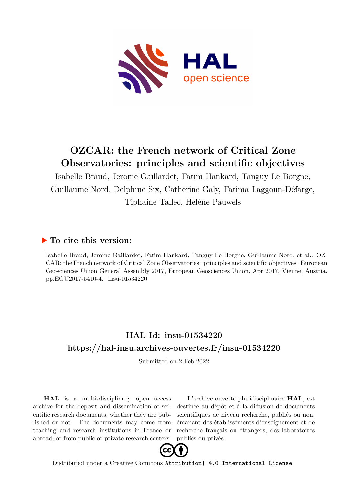

## **OZCAR: the French network of Critical Zone Observatories: principles and scientific objectives**

Isabelle Braud, Jerome Gaillardet, Fatim Hankard, Tanguy Le Borgne, Guillaume Nord, Delphine Six, Catherine Galy, Fatima Laggoun-Défarge, Tiphaine Tallec, Hélène Pauwels

## **To cite this version:**

Isabelle Braud, Jerome Gaillardet, Fatim Hankard, Tanguy Le Borgne, Guillaume Nord, et al.. OZ-CAR: the French network of Critical Zone Observatories: principles and scientific objectives. European Geosciences Union General Assembly 2017, European Geosciences Union, Apr 2017, Vienne, Austria. pp.EGU2017-5410-4. insu-01534220

## **HAL Id: insu-01534220 <https://hal-insu.archives-ouvertes.fr/insu-01534220>**

Submitted on 2 Feb 2022

**HAL** is a multi-disciplinary open access archive for the deposit and dissemination of scientific research documents, whether they are published or not. The documents may come from teaching and research institutions in France or abroad, or from public or private research centers.

L'archive ouverte pluridisciplinaire **HAL**, est destinée au dépôt et à la diffusion de documents scientifiques de niveau recherche, publiés ou non, émanant des établissements d'enseignement et de recherche français ou étrangers, des laboratoires publics ou privés.



Distributed under a Creative Commons [Attribution| 4.0 International License](http://creativecommons.org/licenses/by/4.0/)